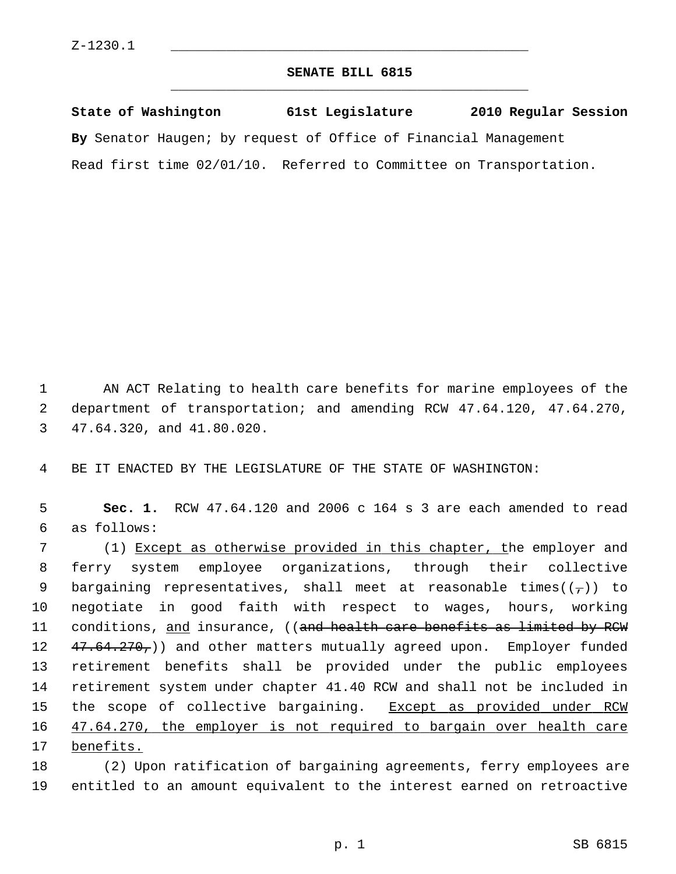## **SENATE BILL 6815** \_\_\_\_\_\_\_\_\_\_\_\_\_\_\_\_\_\_\_\_\_\_\_\_\_\_\_\_\_\_\_\_\_\_\_\_\_\_\_\_\_\_\_\_\_

**State of Washington 61st Legislature 2010 Regular Session By** Senator Haugen; by request of Office of Financial Management Read first time 02/01/10. Referred to Committee on Transportation.

 1 AN ACT Relating to health care benefits for marine employees of the 2 department of transportation; and amending RCW 47.64.120, 47.64.270, 3 47.64.320, and 41.80.020.

4 BE IT ENACTED BY THE LEGISLATURE OF THE STATE OF WASHINGTON:

 5 **Sec. 1.** RCW 47.64.120 and 2006 c 164 s 3 are each amended to read 6 as follows:

 7 (1) Except as otherwise provided in this chapter, the employer and 8 ferry system employee organizations, through their collective 9 bargaining representatives, shall meet at reasonable times( $(\tau)$ ) to 10 negotiate in good faith with respect to wages, hours, working 11 conditions, and insurance, ((and health care benefits as limited by RCW 12 47.64.270,) and other matters mutually agreed upon. Employer funded 13 retirement benefits shall be provided under the public employees 14 retirement system under chapter 41.40 RCW and shall not be included in 15 the scope of collective bargaining. Except as provided under RCW 16 47.64.270, the employer is not required to bargain over health care 17 benefits.

18 (2) Upon ratification of bargaining agreements, ferry employees are 19 entitled to an amount equivalent to the interest earned on retroactive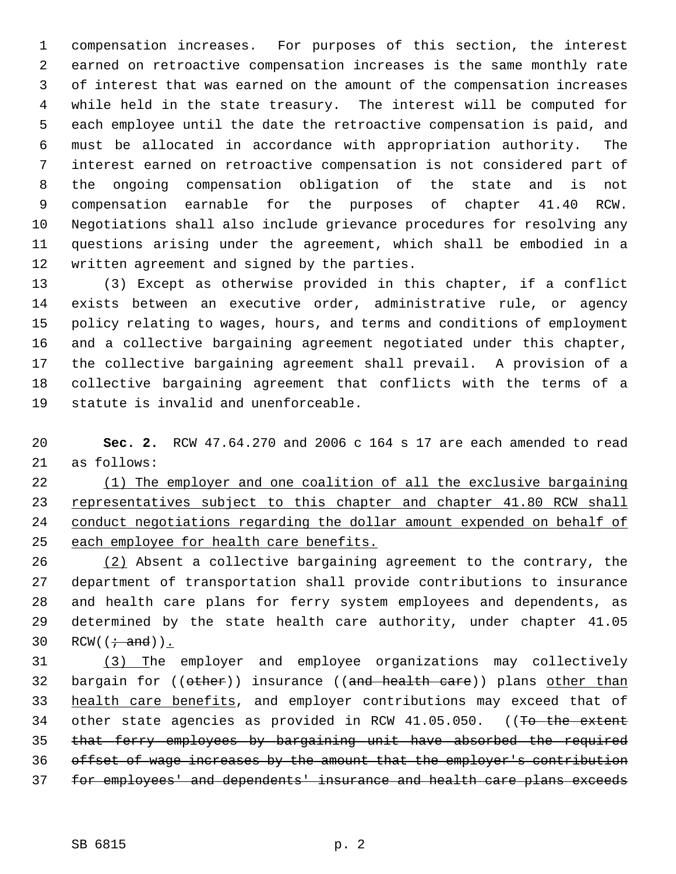1 compensation increases. For purposes of this section, the interest 2 earned on retroactive compensation increases is the same monthly rate 3 of interest that was earned on the amount of the compensation increases 4 while held in the state treasury. The interest will be computed for 5 each employee until the date the retroactive compensation is paid, and 6 must be allocated in accordance with appropriation authority. The 7 interest earned on retroactive compensation is not considered part of 8 the ongoing compensation obligation of the state and is not 9 compensation earnable for the purposes of chapter 41.40 RCW. 10 Negotiations shall also include grievance procedures for resolving any 11 questions arising under the agreement, which shall be embodied in a 12 written agreement and signed by the parties.

13 (3) Except as otherwise provided in this chapter, if a conflict 14 exists between an executive order, administrative rule, or agency 15 policy relating to wages, hours, and terms and conditions of employment 16 and a collective bargaining agreement negotiated under this chapter, 17 the collective bargaining agreement shall prevail. A provision of a 18 collective bargaining agreement that conflicts with the terms of a 19 statute is invalid and unenforceable.

20 **Sec. 2.** RCW 47.64.270 and 2006 c 164 s 17 are each amended to read 21 as follows:

 (1) The employer and one coalition of all the exclusive bargaining representatives subject to this chapter and chapter 41.80 RCW shall 24 conduct negotiations regarding the dollar amount expended on behalf of each employee for health care benefits.

26 (2) Absent a collective bargaining agreement to the contrary, the 27 department of transportation shall provide contributions to insurance 28 and health care plans for ferry system employees and dependents, as 29 determined by the state health care authority, under chapter 41.05 30 RCW( $(\div \text{ and})$ ).

 (3) The employer and employee organizations may collectively 32 bargain for ((other)) insurance ((and health care)) plans other than health care benefits, and employer contributions may exceed that of 34 other state agencies as provided in RCW 41.05.050. ((To the extent that ferry employees by bargaining unit have absorbed the required offset of wage increases by the amount that the employer's contribution for employees' and dependents' insurance and health care plans exceeds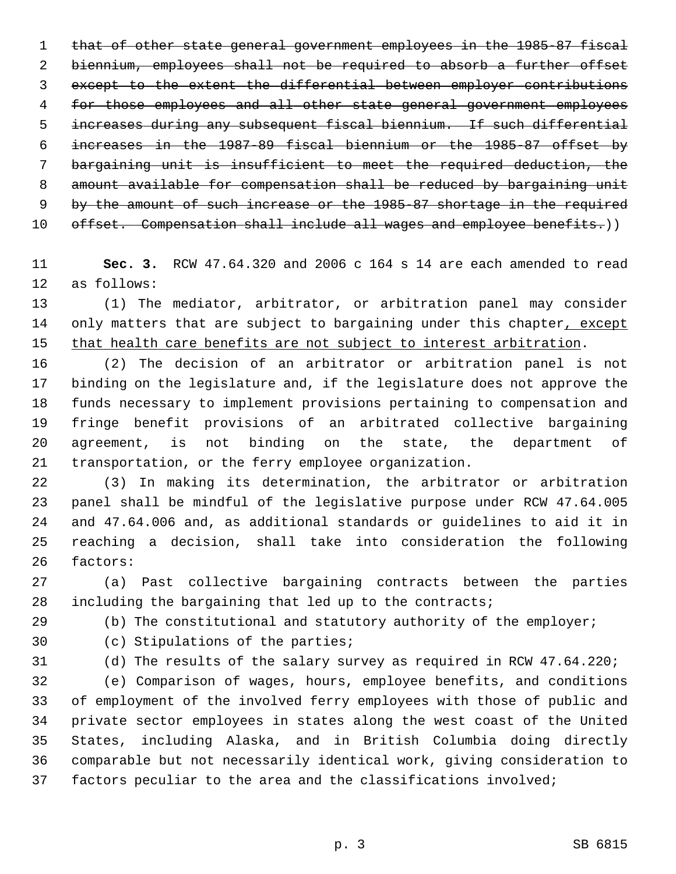that of other state general government employees in the 1985-87 fiscal 2 biennium, employees shall not be required to absorb a further offset except to the extent the differential between employer contributions for those employees and all other state general government employees increases during any subsequent fiscal biennium. If such differential increases in the 1987-89 fiscal biennium or the 1985-87 offset by bargaining unit is insufficient to meet the required deduction, the amount available for compensation shall be reduced by bargaining unit by the amount of such increase or the 1985-87 shortage in the required 10 offset. Compensation shall include all wages and employee benefits.))

11 **Sec. 3.** RCW 47.64.320 and 2006 c 164 s 14 are each amended to read 12 as follows:

13 (1) The mediator, arbitrator, or arbitration panel may consider 14 only matters that are subject to bargaining under this chapter, except 15 that health care benefits are not subject to interest arbitration.

16 (2) The decision of an arbitrator or arbitration panel is not 17 binding on the legislature and, if the legislature does not approve the 18 funds necessary to implement provisions pertaining to compensation and 19 fringe benefit provisions of an arbitrated collective bargaining 20 agreement, is not binding on the state, the department of 21 transportation, or the ferry employee organization.

22 (3) In making its determination, the arbitrator or arbitration 23 panel shall be mindful of the legislative purpose under RCW 47.64.005 24 and 47.64.006 and, as additional standards or guidelines to aid it in 25 reaching a decision, shall take into consideration the following 26 factors:

27 (a) Past collective bargaining contracts between the parties 28 including the bargaining that led up to the contracts;

29 (b) The constitutional and statutory authority of the employer;

30 (c) Stipulations of the parties;

31 (d) The results of the salary survey as required in RCW 47.64.220;

32 (e) Comparison of wages, hours, employee benefits, and conditions 33 of employment of the involved ferry employees with those of public and 34 private sector employees in states along the west coast of the United 35 States, including Alaska, and in British Columbia doing directly 36 comparable but not necessarily identical work, giving consideration to 37 factors peculiar to the area and the classifications involved;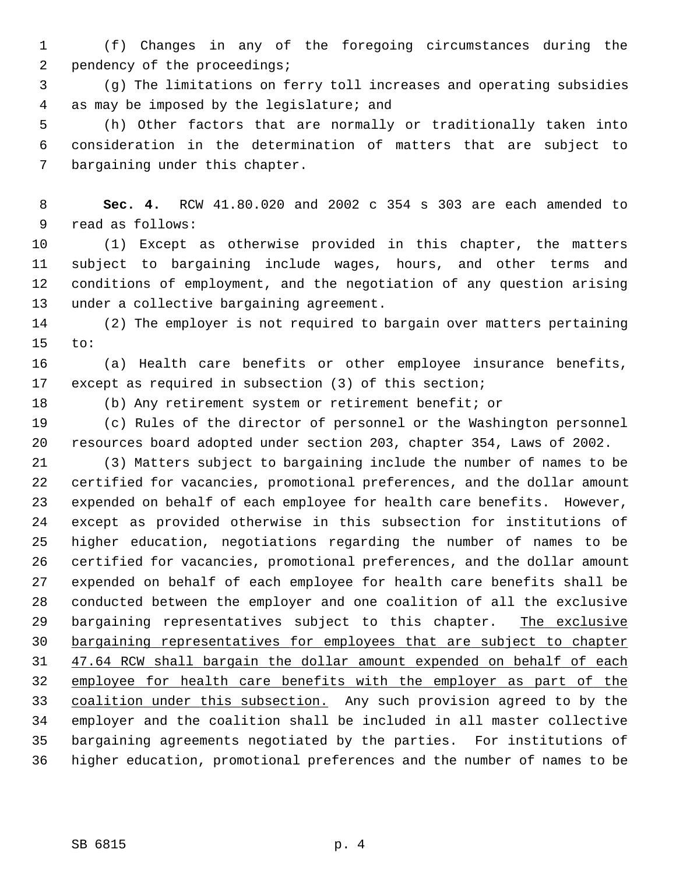1 (f) Changes in any of the foregoing circumstances during the 2 pendency of the proceedings;

 3 (g) The limitations on ferry toll increases and operating subsidies 4 as may be imposed by the legislature; and

 5 (h) Other factors that are normally or traditionally taken into 6 consideration in the determination of matters that are subject to 7 bargaining under this chapter.

 8 **Sec. 4.** RCW 41.80.020 and 2002 c 354 s 303 are each amended to 9 read as follows:

10 (1) Except as otherwise provided in this chapter, the matters 11 subject to bargaining include wages, hours, and other terms and 12 conditions of employment, and the negotiation of any question arising 13 under a collective bargaining agreement.

14 (2) The employer is not required to bargain over matters pertaining 15 to:

16 (a) Health care benefits or other employee insurance benefits, 17 except as required in subsection (3) of this section;

18 (b) Any retirement system or retirement benefit; or

19 (c) Rules of the director of personnel or the Washington personnel 20 resources board adopted under section 203, chapter 354, Laws of 2002.

21 (3) Matters subject to bargaining include the number of names to be 22 certified for vacancies, promotional preferences, and the dollar amount 23 expended on behalf of each employee for health care benefits. However, 24 except as provided otherwise in this subsection for institutions of 25 higher education, negotiations regarding the number of names to be 26 certified for vacancies, promotional preferences, and the dollar amount 27 expended on behalf of each employee for health care benefits shall be 28 conducted between the employer and one coalition of all the exclusive 29 bargaining representatives subject to this chapter. The exclusive 30 bargaining representatives for employees that are subject to chapter 31 47.64 RCW shall bargain the dollar amount expended on behalf of each 32 employee for health care benefits with the employer as part of the 33 coalition under this subsection. Any such provision agreed to by the 34 employer and the coalition shall be included in all master collective 35 bargaining agreements negotiated by the parties. For institutions of 36 higher education, promotional preferences and the number of names to be